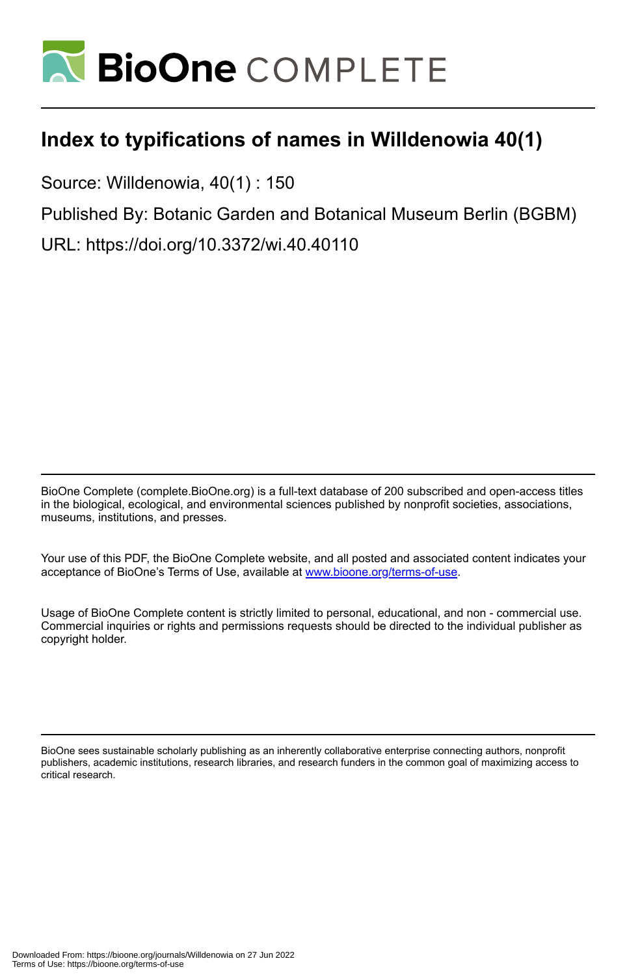

## **Index to typifications of names in Willdenowia 40(1)**

Source: Willdenowia, 40(1) : 150

Published By: Botanic Garden and Botanical Museum Berlin (BGBM)

URL: https://doi.org/10.3372/wi.40.40110

BioOne Complete (complete.BioOne.org) is a full-text database of 200 subscribed and open-access titles in the biological, ecological, and environmental sciences published by nonprofit societies, associations, museums, institutions, and presses.

Your use of this PDF, the BioOne Complete website, and all posted and associated content indicates your acceptance of BioOne's Terms of Use, available at www.bioone.org/terms-of-use.

Usage of BioOne Complete content is strictly limited to personal, educational, and non - commercial use. Commercial inquiries or rights and permissions requests should be directed to the individual publisher as copyright holder.

BioOne sees sustainable scholarly publishing as an inherently collaborative enterprise connecting authors, nonprofit publishers, academic institutions, research libraries, and research funders in the common goal of maximizing access to critical research.